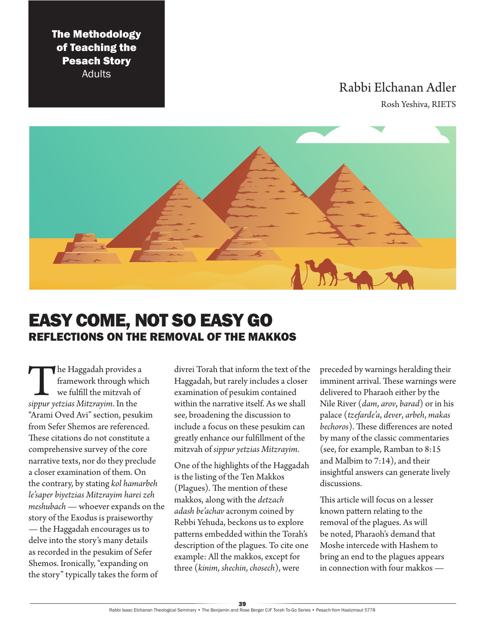The Methodology of Teaching the Pesach Story Adults

## Rabbi Elchanan Adler

Rosh Yeshiva, RIETS



# EASY COME, NOT SO EASY GO REFLECTIONS ON THE REMOVAL OF THE MAKKOS

**18 The Haggadah provides a framework through which we fulfill the mitzvah of sippur yetzias Mitzrayim. In the** framework through which we fulfill the mitzvah of "Arami Oved Avi" section, pesukim from Sefer Shemos are referenced. These citations do not constitute a comprehensive survey of the core narrative texts, nor do they preclude a closer examination of them. On the contrary, by stating *kol hamarbeh le'saper biyetzias Mitzrayim harei zeh meshubach* — whoever expands on the story of the Exodus is praiseworthy — the Haggadah encourages us to delve into the story's many details as recorded in the pesukim of Sefer Shemos. Ironically, "expanding on the story" typically takes the form of

divrei Torah that inform the text of the Haggadah, but rarely includes a closer examination of pesukim contained within the narrative itself. As we shall see, broadening the discussion to include a focus on these pesukim can greatly enhance our fulfillment of the mitzvah of *sippur yetzias Mitzrayim*.

One of the highlights of the Haggadah is the listing of the Ten Makkos (Plagues). The mention of these makkos, along with the *detzach adash be'achav* acronym coined by Rebbi Yehuda, beckons us to explore patterns embedded within the Torah's description of the plagues. To cite one example: All the makkos, except for three (*kinim*, *shechin*, *chosech*), were

preceded by warnings heralding their imminent arrival. These warnings were delivered to Pharaoh either by the Nile River (*dam*, *arov*, *barad*) or in his palace (*tzefarde'a*, *dever*, *arbeh*, *makas bechoros*). These differences are noted by many of the classic commentaries (see, for example, Ramban to 8:15 and Malbim to 7:14), and their insightful answers can generate lively discussions.

This article will focus on a lesser known pattern relating to the removal of the plagues. As will be noted, Pharaoh's demand that Moshe intercede with Hashem to bring an end to the plagues appears in connection with four makkos —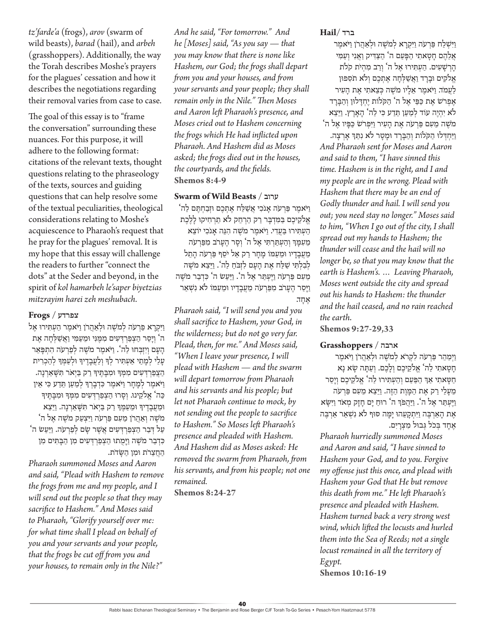*tz'farde'a* (frogs), *arov* (swarm of wild beasts), *barad* (hail), and *arbeh*  (grasshoppers). Additionally, the way the Torah describes Moshe's prayers for the plagues' cessation and how it describes the negotiations regarding their removal varies from case to case.

The goal of this essay is to "frame the conversation" surrounding these nuances. For this purpose, it will adhere to the following format: citations of the relevant texts, thought questions relating to the phraseology of the texts, sources and guiding questions that can help resolve some of the textual peculiarities, theological considerations relating to Moshe's acquiescence to Pharaoh's request that he pray for the plagues' removal. It is my hope that this essay will challenge the readers to further "connect the dots" at the Seder and beyond, in the spirit of *kol hamarbeh le'saper biyetzias mitzrayim harei zeh meshubach*.

#### **צפרדע** / **Frogs**

וַיִּקְרַא פַרְעֹה לְמֹשֶׁה וּלְאַהֲרֹן וַיֹּאמֶר הַעָתְּירוּ אֶל ה' וְ יָסֵ ר הַ צְ פַ רְ ד ְ עִ ים מִ מֶ נִי ּומֵ עַ מִ י וַ אֲ ַשלְ חָ ה אֶ ת הַעֲם וְיִזְבְּחוּ לַה'. וַיֹּאמֶר מֹשֶׁה לְפַרְעֹה הָתִפָּאֵר עַלֵי לִמַתִי אַעָתִּיר לְךָּ וְלַעֲבַדֵיךָּ וּלְעַמְךָּ לְהַכִרִית הַצֲפַרְדְּעִים מִמְּךְ וּמִבְתֶּיךְ רַק בַּיְאֹר תִּשָּׁאַרְנָה. וַ יֹאמֶ ר לְ מָ חָ ר וַ יֹאמֶ ר כִ דְ בָ רְ ָך לְ מַ עַ ן תֵ דַ ע כִ י אֵ ין ּכַּה' אֱלֹקֵינוּ. וְסָרוּ הַצְפַרְדְּעִים מִמְּךָ וּמִבָּתֵּיךָ ּומֵ עֲ בָ דֶ יָך ּומֵ עַ מֶ ָך רַ ק בַ יְאֹר תִ שָ אַ רְ נָה. וַ יֵ צֵ א מֹשֶׁה וְאַהֲרֹן מֵעָם פַּרְעֹה וַיִּצְעַק מֹשֶׁה אֵל ה<sup>ַ</sup> עַל דְּבַר הַצְפַרְדִּעִים אֲשֶׁר שָׂם לְפַרְעֹה. וַיַּעַשׂ ה<sup></sup>' כִּדְבַר מֹשֶׁה וַיַּמִתוּ הַצְפַרְדִּעִים מִן הַבַּתִּים מִן הַ חֲ צֵ רֹת ּומִ ן הַ שָ דֹת.

*Pharaoh summoned Moses and Aaron and said, "Plead with Hashem to remove the frogs from me and my people, and I will send out the people so that they may sacrifice to Hashem." And Moses said to Pharaoh, "Glorify yourself over me: for what time shall I plead on behalf of you and your servants and your people, that the frogs be cut off from you and your houses, to remain only in the Nile?"* 

*And he said, "For tomorrow." And he [Moses] said, "As you say — that you may know that there is none like Hashem, our God; the frogs shall depart from you and your houses, and from your servants and your people; they shall remain only in the Nile." Then Moses and Aaron left Pharaoh's presence, and Moses cried out to Hashem concerning the frogs which He had inflicted upon Pharaoh. And Hashem did as Moses asked; the frogs died out in the houses, the courtyards, and the fields.* **Shemos 8:4-9**

#### **Swarm of Wild Beasts** / **ערוב**

ויֹאמר פּרעֹה אַנֹכִי אַשׁלַח אַתְכִם וּזִבְחִתָּם לִה אֱ ֹלקֵ יכֶ ם בַ מִ דְ בָ ר רַ ק הַ רְ חֵ ק לֹא תַ רְ חִ יקּו לָ לֶ כֶ ת הַ עְ תִ ירּו בַ עֲ דִ י. וַ יֹאמֶ ר מֹשֶ ה הִ נֵה אָ נֹכִ י יֹוצֵ א מֵעָמַךְ וְהַעָתַרְתִּי אֵל ה' וְסֵר הֵעֲרֹב מִפַּרְעֹה מֵעֲבַדִיו וּמֵעֲמוֹ מַחַר רַק אַל יֹסֵף פַּרְעֹה הַתֵל לְבִלְתִּי שַׁלַּח אֶת הַעֲם לִזְבֹחַ לַה'. וַיֵּצֵא מֹשֶׁה מֵעָם פַּרְעֹה וַיֵּעָתַּר אֵל ה<sup>י</sup>. וַיַּעֲשׂ ה<sup>י</sup> כִּדְבַר מֹשֵׁה וַיַּסַר הֵעַרֹב מִפַּרְעֹה מֵעֲבָדַיו וּמֵעַמּוֹ לֹא נִשְׁאַר אָחד.

*Pharaoh said, "I will send you and you shall sacrifice to Hashem, your God, in the wilderness; but do not go very far. Plead, then, for me." And Moses said, "When I leave your presence, I will plead with Hashem — and the swarm will depart tomorrow from Pharaoh and his servants and his people; but let not Pharaoh continue to mock, by not sending out the people to sacrifice to Hashem." So Moses left Pharaoh's presence and pleaded with Hashem. And Hashem did as Moses asked: He removed the swarm from Pharaoh, from his servants, and from his people; not one remained.* **Shemos 8:24-27**

#### **ברד** /**Hail**

וישלח פרעה ויקרא למשה ו<sup>ּ</sup>לאהרן ויֹאמר אַלֵּהֵם חַטַאתִי הַפָּעַם ה<sup>י</sup> הַצַּדִּיק וַאֲנִי וְעַמִּי הָ רְ שָ עִ ים. הַ עְ תִ ירּו אֶ ל ה' וְ רַ ב מִ הְ יֹת קֹֹלת אֵלֹקִים וּבָרַד וַאֲשַלְחָה אֵתְכֵם וְלֹא תֹסִפוּן לַעֲמֹד. וַיֹּאמֶר אֲלֵיו מֹשֶׁה כִּצֵאתִי אֶת הַעָּיר אַפַרֹש אֶת כַּפַּי אַל ה' הַקְּלֹות יִחִדְּלוּוְ וְהַבֵּרד לֹא יִהְיֶה עוֹד לְמַעַן תֲדַע כִּי לַה' הָאֲרֵץ. וַיֵּצֵא מֹשֶׁה מֵעָם פַּרְעֹה אֶת הַעִ*יר וַיִּפְרֹש* כַּפִּיו אֵל ה<sup>י</sup> וַיַּחִדְּלוּ הַקֹּלֹוֹת וְהַבֵּרֵד וּמֵטֵר לֹא נִתַּךְ אַרְצַה. *And Pharaoh sent for Moses and Aaron and said to them, "I have sinned this time. Hashem is in the right, and I and my people are in the wrong. Plead with Hashem that there may be an end of Godly thunder and hail. I will send you out; you need stay no longer." Moses said to him, "When I go out of the city, I shall spread out my hands to Hashem; the thunder will cease and the hail will no longer be, so that you may know that the earth is Hashem's. … Leaving Pharaoh, Moses went outside the city and spread out his hands to Hashem: the thunder and the hail ceased, and no rain reached the earth.*

**Shemos 9:27-29,33**

#### **ארבה** / **Grasshoppers**

וַיִּמַהֵר פַּרְעֹה לִקְרֹא לְמֹשֶׁה וּלְאַהֲרֹן וַיֹּאמֶר חָ טָ אתִ י לַ ה' אֱ ֹלקֵ יכֶ ם וְ לָ כֶ ם. וְ עַ תָ ה שָ א נָא חַ טָ אתִ י אַ ְך הַ פַ עַ ם וְ הַ עְ תִ ירּו לַ ה' אֱ ֹלקֵ יכֶ ם וְ יָסֵ ר מֵ עָ לַ י רַ ק אֶ ת הַ מָ וֶ ת הַ זֶ ה. וַ יֵ צֵ א מֵ עִ ם פַ רְ עֹה וַ יֶ עְ תַ ר אֶ ל ה'. וַ יַ הֲ פְֹך ה' רּוחַ יָם חָ זָק מְ אֹד וַ יִ שָ א אֶת הָאַרְבֶּה וַיִּתְקָעָהוּ יָמָה סוּף לֹא נִשְׁאַר אַרְבֶּה אֶחֶד בְּכֹל גְּבוּל מִצְרַיִם.

*Pharaoh hurriedly summoned Moses and Aaron and said, "I have sinned to Hashem your God, and to you. Forgive my offense just this once, and plead with Hashem your God that He but remove this death from me." He left Pharaoh's presence and pleaded with Hashem. Hashem turned back a very strong west wind, which lifted the locusts and hurled them into the Sea of Reeds; not a single locust remained in all the territory of Egypt.* **Shemos 10:16-19**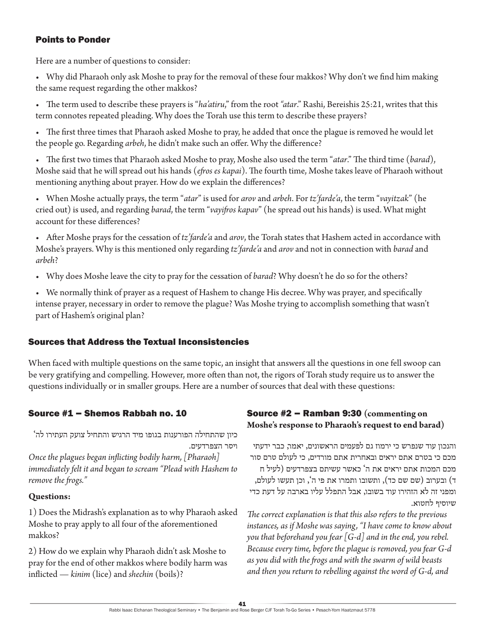### Points to Ponder

Here are a number of questions to consider:

• Why did Pharaoh only ask Moshe to pray for the removal of these four makkos? Why don't we find him making the same request regarding the other makkos?

• The term used to describe these prayers is "*ha'atiru*," from the root *"atar*." Rashi, Bereishis 25:21, writes that this term connotes repeated pleading. Why does the Torah use this term to describe these prayers?

• The first three times that Pharaoh asked Moshe to pray, he added that once the plague is removed he would let the people go. Regarding *arbeh*, he didn't make such an offer. Why the difference?

• The first two times that Pharaoh asked Moshe to pray, Moshe also used the term "*atar*." The third time (*barad*), Moshe said that he will spread out his hands (*efros es kapai*). The fourth time, Moshe takes leave of Pharaoh without mentioning anything about prayer. How do we explain the differences?

• When Moshe actually prays, the term "*atar*" is used for *arov* and *arbeh*. For *tz'farde'a*, the term "*vayitzak*" (he cried out) is used, and regarding *barad*, the term "*vayifros kapav*" (he spread out his hands) is used. What might account for these differences?

• After Moshe prays for the cessation of *tz'farde'a* and *arov*, the Torah states that Hashem acted in accordance with Moshe's prayers. Why is this mentioned only regarding *tz'farde'a* and *arov* and not in connection with *barad* and *arbeh*?

• Why does Moshe leave the city to pray for the cessation of *barad*? Why doesn't he do so for the others?

• We normally think of prayer as a request of Hashem to change His decree. Why was prayer, and specifically intense prayer, necessary in order to remove the plague? Was Moshe trying to accomplish something that wasn't part of Hashem's original plan?

### Sources that Address the Textual Inconsistencies

When faced with multiple questions on the same topic, an insight that answers all the questions in one fell swoop can be very gratifying and compelling. However, more often than not, the rigors of Torah study require us to answer the questions individually or in smaller groups. Here are a number of sources that deal with these questions:

### Source #1 – Shemos Rabbah no. 10

כיון שהתחילה הפורענות בגופו מיד הרגיש והתחיל צועק העתירו לה' ויסר הצפרדעים.

*Once the plagues began inflicting bodily harm, [Pharaoh] immediately felt it and began to scream "Plead with Hashem to remove the frogs."*

### **Questions:**

1) Does the Midrash's explanation as to why Pharaoh asked Moshe to pray apply to all four of the aforementioned makkos?

2) How do we explain why Pharaoh didn't ask Moshe to pray for the end of other makkos where bodily harm was inflicted — *kinim* (lice) and *shechin* (boils)?

### Source #2 – Ramban 9:30 **(commenting on Moshe's response to Pharaoh's request to end barad)**

והנכון עוד שנפרש כי ירמוז גם לפעמים הראשונים, יאמר, כבר ידעתי מכם כי בטרם אתם יראים ובאחרית אתם מורדים, כי לעולם טרם סור מכם המכות אתם יראים את ה' כאשר עשיתם בצפרדעים )לעיל ח ד) ובערוב (שם שם כד), ותשובו ותמרו את פי ה`, וכן תעשו לעולם, ומפני זה לא הזהירו עוד בשובו, אבל התפלל עליו בארבה על דעת כדי שיוסיף לחטוא.

*The correct explanation is that this also refers to the previous instances, as if Moshe was saying, "I have come to know about you that beforehand you fear [G-d] and in the end, you rebel. Because every time, before the plague is removed, you fear G-d as you did with the frogs and with the swarm of wild beasts and then you return to rebelling against the word of G-d, and*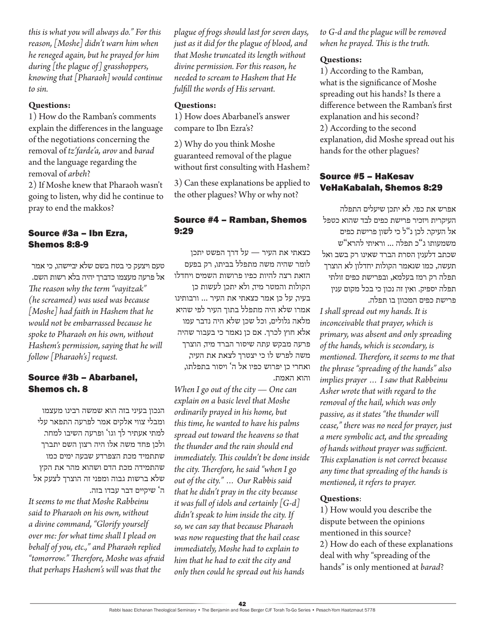*this is what you will always do." For this reason, [Moshe] didn't warn him when he reneged again, but he prayed for him during [the plague of] grasshoppers, knowing that [Pharaoh] would continue to sin.*

#### **Questions:**

1) How do the Ramban's comments explain the differences in the language of the negotiations concerning the removal of *tz'farde'a, arov* and *barad* and the language regarding the removal of *arbeh*?

2) If Moshe knew that Pharaoh wasn't going to listen, why did he continue to pray to end the makkos?

### Source #3a – Ibn Ezra, Shemos 8:8-9

טעם ויצעק כי בטח בשם שלא יביישהו, כי אמר אל פרעה מעצמו כדברך יהיה בלא רשות השם. *The reason why the term "vayitzak" (he screamed) was used was because [Moshe] had faith in Hashem that he would not be embarrassed because he spoke to Pharaoh on his own, without Hashem's permission, saying that he will follow [Pharaoh's] request.* 

### Source #3b – Abarbanel, Shemos ch. 8

הנכון בעיני בזה הוא שמשה רבינו מעצמו ומבלי צווי אלקים אמר לפרעה התפאר עלי למתי אעתיר לך וגו' ופרעה השיבו למחר. ולכן פחד משה אלו היה רצון השם יתברך שתתמיד מכת הצפרדע שבעה ימים כמו שהתמידה מכת הדם ושהוא מהר את הקץ שלא ברשות גבוה ומפני זה הוצרך לצעק אל ה' שיקיים דבר עבדו בזה.

*It seems to me that Moshe Rabbeinu said to Pharaoh on his own, without a divine command, "Glorify yourself over me: for what time shall I plead on behalf of you, etc.," and Pharaoh replied "tomorrow." Therefore, Moshe was afraid that perhaps Hashem's will was that the* 

*plague of frogs should last for seven days, just as it did for the plague of blood, and that Moshe truncated its length without divine permission. For this reason, he needed to scream to Hashem that He fulfill the words of His servant.*

#### **Questions:**

1) How does Abarbanel's answer compare to Ibn Ezra's?

2) Why do you think Moshe guaranteed removal of the plague without first consulting with Hashem?

3) Can these explanations be applied to the other plagues? Why or why not?

### Source #4 – Ramban, Shemos 9:29

כצאתי את העיר — על דרך הפשט יתכן לומר שהיה משה מתפלל בביתו, רק בפעם הזאת רצה להיות כפיו פרושות השמים ויחדלו הקולות והמטר מיד, ולא יתכן לעשות כן בעיר, על כן אמר כצאתי את העיר ... ורבותינו אמרו שלא היה מתפלל בתוך העיר לפי שהיא מלאה גלולים, וכל שכן שלא היה נדבר עמו אלא חוץ לכרך. אם כן נאמר כי בעבור שהיה פרעה מבקש עתה שיסור הברד מיד, הוצרך משה לפרש לו כי יצטרך לצאת את העיר, ואחרי כן יפרוש כפיו אל ה' ויסור בתפלתו, והוא האמת.

*When I go out of the city — One can explain on a basic level that Moshe ordinarily prayed in his home, but this time, he wanted to have his palms spread out toward the heavens so that the thunder and the rain should end immediately. This couldn't be done inside the city. Therefore, he said "when I go out of the city." … Our Rabbis said that he didn't pray in the city because it was full of idols and certainly [G-d] didn't speak to him inside the city. If so, we can say that because Pharaoh was now requesting that the hail cease immediately, Moshe had to explain to him that he had to exit the city and only then could he spread out his hands* 

*to G-d and the plague will be removed when he prayed. This is the truth.*

#### **Questions:**

1) According to the Ramban, what is the significance of Moshe spreading out his hands? Is there a difference between the Ramban's first explanation and his second? 2) According to the second explanation, did Moshe spread out his hands for the other plagues?

### Source #5 – HaKesav VeHaKabalah, Shemos 8:29

אפרש את כפי. לא יתכן שיעלים התפלה העיקרית ויזכיר פרישת כפים לבד שהוא כטפל אל העיקר. לכן נ"ל כי לשון פרישת כפים משמעותו ג"כ תפלה ... וראיתי להרא"ש שכתב דלענין הסרת הברד שאינו רק בשב ואל תעשה, כמו שנאמר הקולות יחדלון לא הוצרך תפלה רק רמז בעלמא, ובפרישת כפים זולתי תפלה יספיק. ואין זה נכון כי בכל מקום ענין פרישת כפים המכוון בו תפלה.

*I shall spread out my hands. It is inconceivable that prayer, which is primary, was absent and only spreading of the hands, which is secondary, is mentioned. Therefore, it seems to me that the phrase "spreading of the hands" also implies prayer … I saw that Rabbeinu Asher wrote that with regard to the removal of the hail, which was only passive, as it states "the thunder will cease," there was no need for prayer, just a mere symbolic act, and the spreading of hands without prayer was sufficient. This explanation is not correct because any time that spreading of the hands is mentioned, it refers to prayer.*

#### **Questions**:

1) How would you describe the dispute between the opinions mentioned in this source? 2) How do each of these explanations deal with why "spreading of the hands" is only mentioned at *barad*?